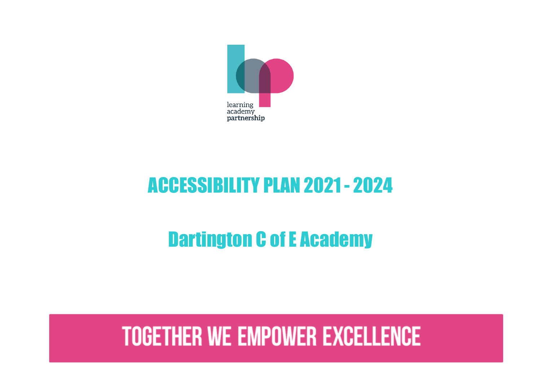

## ACCESSIBILITY PLAN 2021 - 2024

## Dartington C of E Academy

# **TOGETHER WE EMPOWER EXCELLENCE**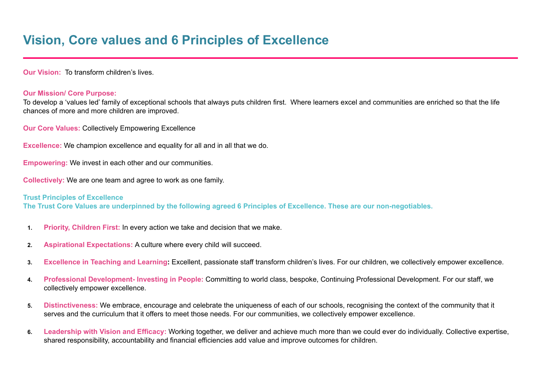**Our Vision:** To transform children's lives.

## **Our Mission/ Core Purpose:**

To develop a 'values led' family of exceptional schools that always puts children first. Where learners excel and communities are enriched so that the life chances of more and more children are improved.

**Our Core Values:** Collectively Empowering Excellence

**Excellence:** We champion excellence and equality for all and in all that we do.

**Empowering:** We invest in each other and our communities.

**Collectively:** We are one team and agree to work as one family.

## **Trust Principles of Excellence**

The Trust Core Values are underpinned by the following agreed 6 Principles of Excellence. These are our non-negotiables,

- **1. Priority, Children First:** In every action we take and decision that we make.
- **2. Aspirational Expectations:** A culture where every child will succeed.
- **3. Excellence in Teaching and Learning:** Excellent, passionate staff transform children's lives. For our children, we collectively empower excellence.
- **4. Professional Development- Investing in People:** Committing to world class, bespoke, Continuing Professional Development. For our staff, we collectively empower excellence.
- **5. Distinctiveness:** We embrace, encourage and celebrate the uniqueness of each of our schools, recognising the context of the community that it serves and the curriculum that it offers to meet those needs. For our communities, we collectively empower excellence.
- **6. Leadership with Vision and Efficacy:** Working together, we deliver and achieve much more than we could ever do individually. Collective expertise, shared responsibility, accountability and financial efficiencies add value and improve outcomes for children.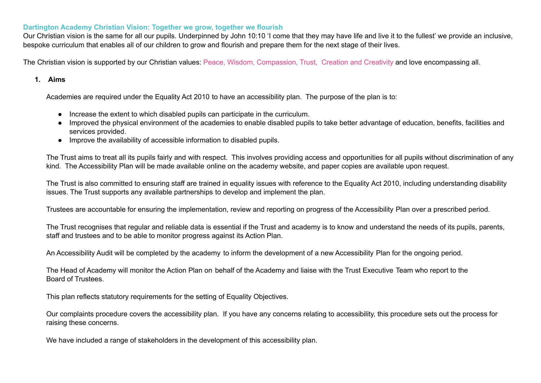## **Dartington Academy Christian Vision: Together we grow, together we flourish**

Our Christian vision is the same for all our pupils. Underpinned by John 10:10 'I come that they may have life and live it to the fullest' we provide an inclusive, bespoke curriculum that enables all of our children to grow and flourish and prepare them for the next stage of their lives.

The Christian vision is supported by our Christian values: Peace, Wisdom, Compassion, Trust, Creation and Creativity and love encompassing all.

### **1. Aims**

Academies are required under the Equality Act 2010 to have an accessibility plan. The purpose of the plan is to:

- Increase the extent to which disabled pupils can participate in the curriculum.
- Improved the physical environment of the academies to enable disabled pupils to take better advantage of education, benefits, facilities and services provided.
- Improve the availability of accessible information to disabled pupils.

The Trust aims to treat all its pupils fairly and with respect. This involves providing access and opportunities for all pupils without discrimination of any kind. The Accessibility Plan will be made available online on the academy website, and paper copies are available upon request.

The Trust is also committed to ensuring staff are trained in equality issues with reference to the Equality Act 2010, including understanding disability issues. The Trust supports any available partnerships to develop and implement the plan.

Trustees are accountable for ensuring the implementation, review and reporting on progress of the Accessibility Plan over a prescribed period.

The Trust recognises that regular and reliable data is essential if the Trust and academy is to know and understand the needs of its pupils, parents, staff and trustees and to be able to monitor progress against its Action Plan.

An Accessibility Audit will be completed by the academy to inform the development of a new Accessibility Plan for the ongoing period.

The Head of Academy will monitor the Action Plan on behalf of the Academy and liaise with the Trust Executive Team who report to the Board of Trustees.

This plan reflects statutory requirements for the setting of Equality Objectives.

Our complaints procedure covers the accessibility plan. If you have any concerns relating to accessibility, this procedure sets out the process for raising these concerns.

We have included a range of stakeholders in the development of this accessibility plan.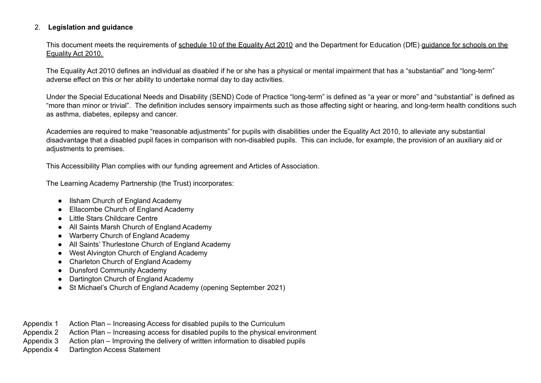## 2. **Legislation and guidance**

This document meets the requirements of schedule 10 of the Equality Act 2010 and the Department for Education (DfE) guidance for schools on the Equality Act 2010.

The Equality Act 2010 defines an individual as disabled if he or she has a physical or mental impairment that has a "substantial" and "long-term" adverse effect on this or her ability to undertake normal day to day activities.

Under the Special Educational Needs and Disability (SEND) Code of Practice "long-term" is defined as "a year or more" and "substantial" is defined as "more than minor or trivial". The definition includes sensory impairments such as those affecting sight or hearing, and long-term health conditions such as asthma, diabetes, epilepsy and cancer.

Academies are required to make "reasonable adjustments" for pupils with disabilities under the Equality Act 2010, to alleviate any substantial disadvantage that a disabled pupil faces in comparison with non-disabled pupils. This can include, for example, the provision of an auxiliary aid or adjustments to premises.

This Accessibility Plan complies with our funding agreement and Articles of Association.

The Learning Academy Partnership (the Trust) incorporates:

- Ilsham Church of England Academy
- Ellacombe Church of England Academy
- Little Stars Childcare Centre
- All Saints Marsh Church of England Academy
- Warberry Church of England Academy
- All Saints' Thurlestone Church of England Academy
- West Alvington Church of England Academy
- Charleton Church of England Academy
- Dunsford Community Academy
- Dartington Church of England Academy
- St Michael's Church of England Academy (opening September 2021)
- Appendix 1 Action Plan Increasing Access for disabled pupils to the Curriculum
- Appendix 2 Action Plan Increasing access for disabled pupils to the physical environment
- Appendix 3 Action plan Improving the delivery of written information to disabled pupils
- Appendix 4 Dartington Access Statement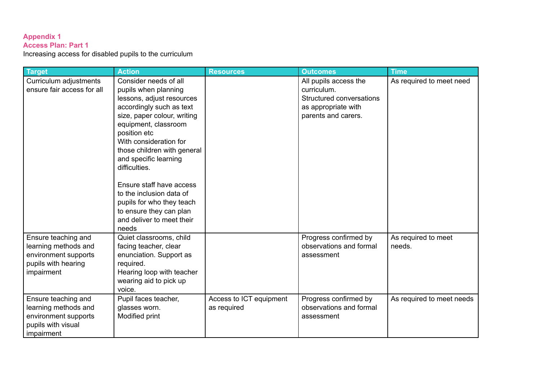## **Appendix 1**

#### **Access Plan: Part 1**

Increasing access for disabled pupils to the curriculum

| <b>Target</b>              | <b>Action</b>               | <b>Resources</b>        | <b>Outcomes</b>          | <b>Time</b>               |
|----------------------------|-----------------------------|-------------------------|--------------------------|---------------------------|
| Curriculum adjustments     | Consider needs of all       |                         | All pupils access the    | As required to meet need  |
| ensure fair access for all | pupils when planning        |                         | curriculum.              |                           |
|                            | lessons, adjust resources   |                         | Structured conversations |                           |
|                            | accordingly such as text    |                         | as appropriate with      |                           |
|                            | size, paper colour, writing |                         | parents and carers.      |                           |
|                            | equipment, classroom        |                         |                          |                           |
|                            | position etc                |                         |                          |                           |
|                            | With consideration for      |                         |                          |                           |
|                            | those children with general |                         |                          |                           |
|                            | and specific learning       |                         |                          |                           |
|                            | difficulties.               |                         |                          |                           |
|                            |                             |                         |                          |                           |
|                            | Ensure staff have access    |                         |                          |                           |
|                            | to the inclusion data of    |                         |                          |                           |
|                            | pupils for who they teach   |                         |                          |                           |
|                            | to ensure they can plan     |                         |                          |                           |
|                            | and deliver to meet their   |                         |                          |                           |
|                            | needs                       |                         |                          |                           |
| Ensure teaching and        | Quiet classrooms, child     |                         | Progress confirmed by    | As required to meet       |
| learning methods and       | facing teacher, clear       |                         | observations and formal  | needs.                    |
| environment supports       | enunciation. Support as     |                         | assessment               |                           |
| pupils with hearing        | required.                   |                         |                          |                           |
| impairment                 | Hearing loop with teacher   |                         |                          |                           |
|                            | wearing aid to pick up      |                         |                          |                           |
|                            | voice.                      |                         |                          |                           |
| Ensure teaching and        | Pupil faces teacher,        | Access to ICT equipment | Progress confirmed by    | As required to meet needs |
| learning methods and       | glasses worn.               | as required             | observations and formal  |                           |
| environment supports       | Modified print              |                         | assessment               |                           |
| pupils with visual         |                             |                         |                          |                           |
| impairment                 |                             |                         |                          |                           |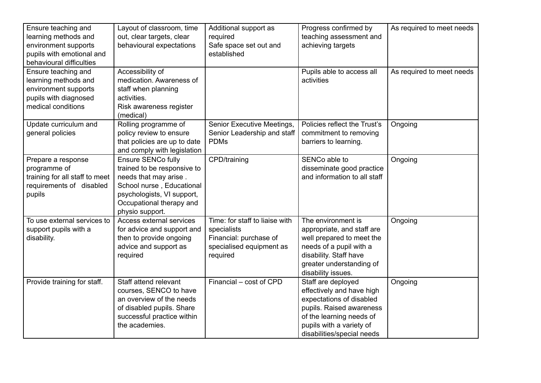| Ensure teaching and<br>learning methods and<br>environment supports<br>pupils with emotional and<br>behavioural difficulties | Layout of classroom, time<br>out, clear targets, clear<br>behavioural expectations                                                                                                   | Additional support as<br>required<br>Safe space set out and<br>established                                      | Progress confirmed by<br>teaching assessment and<br>achieving targets                                                                                                                         | As required to meet needs |
|------------------------------------------------------------------------------------------------------------------------------|--------------------------------------------------------------------------------------------------------------------------------------------------------------------------------------|-----------------------------------------------------------------------------------------------------------------|-----------------------------------------------------------------------------------------------------------------------------------------------------------------------------------------------|---------------------------|
| Ensure teaching and<br>learning methods and<br>environment supports<br>pupils with diagnosed<br>medical conditions           | Accessibility of<br>medication. Awareness of<br>staff when planning<br>activities.<br>Risk awareness register<br>(medical)                                                           |                                                                                                                 | Pupils able to access all<br>activities                                                                                                                                                       | As required to meet needs |
| Update curriculum and<br>general policies                                                                                    | Rolling programme of<br>policy review to ensure<br>that policies are up to date<br>and comply with legislation                                                                       | Senior Executive Meetings,<br>Senior Leadership and staff<br><b>PDMs</b>                                        | Policies reflect the Trust's<br>commitment to removing<br>barriers to learning.                                                                                                               | Ongoing                   |
| Prepare a response<br>programme of<br>training for all staff to meet<br>requirements of disabled<br>pupils                   | Ensure SENCo fully<br>trained to be responsive to<br>needs that may arise.<br>School nurse, Educational<br>psychologists, VI support,<br>Occupational therapy and<br>physio support. | CPD/training                                                                                                    | SENCo able to<br>disseminate good practice<br>and information to all staff                                                                                                                    | Ongoing                   |
| To use external services to<br>support pupils with a<br>disability.                                                          | Access external services<br>for advice and support and<br>then to provide ongoing<br>advice and support as<br>required                                                               | Time: for staff to liaise with<br>specialists<br>Financial: purchase of<br>specialised equipment as<br>required | The environment is<br>appropriate, and staff are<br>well prepared to meet the<br>needs of a pupil with a<br>disability. Staff have<br>greater understanding of<br>disability issues.          | Ongoing                   |
| Provide training for staff.                                                                                                  | Staff attend relevant<br>courses, SENCO to have<br>an overview of the needs<br>of disabled pupils. Share<br>successful practice within<br>the academies.                             | Financial - cost of CPD                                                                                         | Staff are deployed<br>effectively and have high<br>expectations of disabled<br>pupils. Raised awareness<br>of the learning needs of<br>pupils with a variety of<br>disabilities/special needs | Ongoing                   |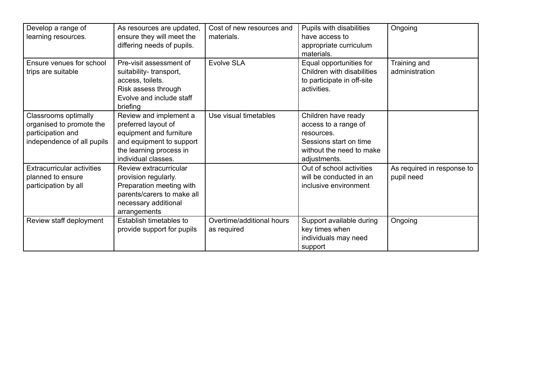| Develop a range of<br>learning resources.                                                           | As resources are updated,<br>ensure they will meet the<br>differing needs of pupils.                                                                   | Cost of new resources and<br>materials.  | Pupils with disabilities<br>have access to<br>appropriate curriculum<br>materials.                                              | Ongoing                                  |
|-----------------------------------------------------------------------------------------------------|--------------------------------------------------------------------------------------------------------------------------------------------------------|------------------------------------------|---------------------------------------------------------------------------------------------------------------------------------|------------------------------------------|
| Ensure venues for school<br>trips are suitable                                                      | Pre-visit assessment of<br>suitability-transport,<br>access, toilets.<br>Risk assess through<br>Evolve and include staff<br>briefing                   | Evolve SLA                               | Equal opportunities for<br>Children with disabilities<br>to participate in off-site<br>activities.                              | Training and<br>administration           |
| Classrooms optimally<br>organised to promote the<br>participation and<br>independence of all pupils | Review and implement a<br>preferred layout of<br>equipment and furniture<br>and equipment to support<br>the learning process in<br>individual classes. | Use visual timetables                    | Children have ready<br>access to a range of<br>resources.<br>Sessions start on time<br>without the need to make<br>adjustments. |                                          |
| <b>Extracurricular activities</b><br>planned to ensure<br>participation by all                      | Review extracurricular<br>provision regularly.<br>Preparation meeting with<br>parents/carers to make all<br>necessary additional<br>arrangements       |                                          | Out of school activities<br>will be conducted in an<br>inclusive environment                                                    | As required in response to<br>pupil need |
| Review staff deployment                                                                             | Establish timetables to<br>provide support for pupils                                                                                                  | Overtime/additional hours<br>as required | Support available during<br>key times when<br>individuals may need<br>support                                                   | Ongoing                                  |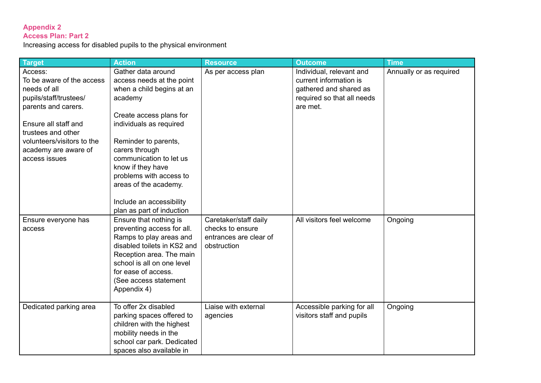## **Appendix 2 Access Plan: Part 2**

Increasing access for disabled pupils to the physical environment

| <b>Target</b>                                                                                                                                                                                                              | <b>Action</b>                                                                                                                                                                                                                                                                                                                                        | <b>Resource</b>                                                                    | <b>Outcome</b>                                                                                                         | <b>Time</b>             |
|----------------------------------------------------------------------------------------------------------------------------------------------------------------------------------------------------------------------------|------------------------------------------------------------------------------------------------------------------------------------------------------------------------------------------------------------------------------------------------------------------------------------------------------------------------------------------------------|------------------------------------------------------------------------------------|------------------------------------------------------------------------------------------------------------------------|-------------------------|
| Access:<br>To be aware of the access<br>needs of all<br>pupils/staff/trustees/<br>parents and carers.<br>Ensure all staff and<br>trustees and other<br>volunteers/visitors to the<br>academy are aware of<br>access issues | Gather data around<br>access needs at the point<br>when a child begins at an<br>academy<br>Create access plans for<br>individuals as required<br>Reminder to parents,<br>carers through<br>communication to let us<br>know if they have<br>problems with access to<br>areas of the academy.<br>Include an accessibility<br>plan as part of induction | As per access plan                                                                 | Individual, relevant and<br>current information is<br>gathered and shared as<br>required so that all needs<br>are met. | Annually or as required |
| Ensure everyone has<br>access                                                                                                                                                                                              | Ensure that nothing is<br>preventing access for all.<br>Ramps to play areas and<br>disabled toilets in KS2 and<br>Reception area. The main<br>school is all on one level<br>for ease of access.<br>(See access statement<br>Appendix 4)                                                                                                              | Caretaker/staff daily<br>checks to ensure<br>entrances are clear of<br>obstruction | All visitors feel welcome                                                                                              | Ongoing                 |
| Dedicated parking area                                                                                                                                                                                                     | To offer 2x disabled<br>parking spaces offered to<br>children with the highest<br>mobility needs in the<br>school car park. Dedicated<br>spaces also available in                                                                                                                                                                                    | Liaise with external<br>agencies                                                   | Accessible parking for all<br>visitors staff and pupils                                                                | Ongoing                 |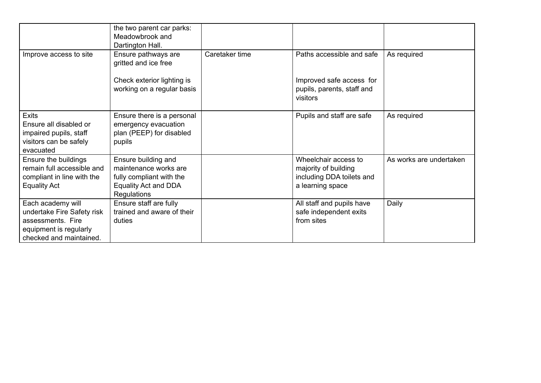|                                                                                                                           | the two parent car parks:<br>Meadowbrook and                                                                           |                |                                                                                               |                         |
|---------------------------------------------------------------------------------------------------------------------------|------------------------------------------------------------------------------------------------------------------------|----------------|-----------------------------------------------------------------------------------------------|-------------------------|
| Improve access to site                                                                                                    | Dartington Hall.<br>Ensure pathways are<br>gritted and ice free                                                        | Caretaker time | Paths accessible and safe                                                                     | As required             |
|                                                                                                                           | Check exterior lighting is<br>working on a regular basis                                                               |                | Improved safe access for<br>pupils, parents, staff and<br>visitors                            |                         |
| <b>Exits</b><br>Ensure all disabled or<br>impaired pupils, staff<br>visitors can be safely<br>evacuated                   | Ensure there is a personal<br>emergency evacuation<br>plan (PEEP) for disabled<br>pupils                               |                | Pupils and staff are safe                                                                     | As required             |
| Ensure the buildings<br>remain full accessible and<br>compliant in line with the<br><b>Equality Act</b>                   | Ensure building and<br>maintenance works are<br>fully compliant with the<br>Equality Act and DDA<br><b>Regulations</b> |                | Wheelchair access to<br>majority of building<br>including DDA toilets and<br>a learning space | As works are undertaken |
| Each academy will<br>undertake Fire Safety risk<br>assessments. Fire<br>equipment is regularly<br>checked and maintained. | Ensure staff are fully<br>trained and aware of their<br>duties                                                         |                | All staff and pupils have<br>safe independent exits<br>from sites                             | Daily                   |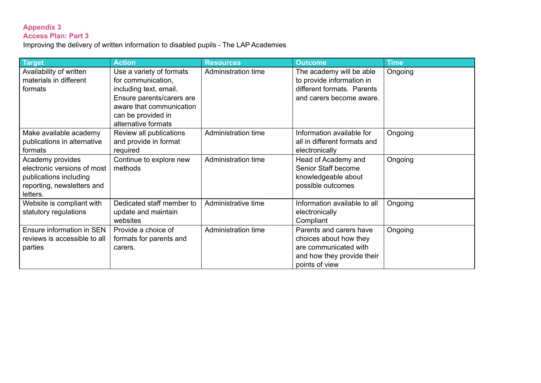### **Appendix 3 Access Plan: Part 3**

Improving the delivery of written information to disabled pupils - The LAP Academies

| Target                       | <b>Action</b>             | <b>Resources</b>    | <b>Outcome</b>               | <b>Time</b> |
|------------------------------|---------------------------|---------------------|------------------------------|-------------|
| Availability of written      | Use a variety of formats  | Administration time | The academy will be able     | Ongoing     |
| materials in different       | for communication,        |                     | to provide information in    |             |
| formats                      | including text, email.    |                     | different formats. Parents   |             |
|                              | Ensure parents/carers are |                     | and carers become aware.     |             |
|                              | aware that communication  |                     |                              |             |
|                              | can be provided in        |                     |                              |             |
|                              | alternative formats       |                     |                              |             |
| Make available academy       | Review all publications   | Administration time | Information available for    | Ongoing     |
| publications in alternative  | and provide in format     |                     | all in different formats and |             |
| formats                      | required                  |                     | electronically               |             |
| Academy provides             | Continue to explore new   | Administration time | Head of Academy and          | Ongoing     |
| electronic versions of most  | methods                   |                     | Senior Staff become          |             |
| publications including       |                           |                     | knowledgeable about          |             |
| reporting, newsletters and   |                           |                     | possible outcomes            |             |
| letters.                     |                           |                     |                              |             |
| Website is compliant with    | Dedicated staff member to | Administrative time | Information available to all | Ongoing     |
| statutory regulations        | update and maintain       |                     | electronically               |             |
|                              | websites                  |                     | Compliant                    |             |
| Ensure information in SEN    | Provide a choice of       | Administration time | Parents and carers have      | Ongoing     |
| reviews is accessible to all | formats for parents and   |                     | choices about how they       |             |
| parties                      | carers.                   |                     | are communicated with        |             |
|                              |                           |                     | and how they provide their   |             |
|                              |                           |                     | points of view               |             |